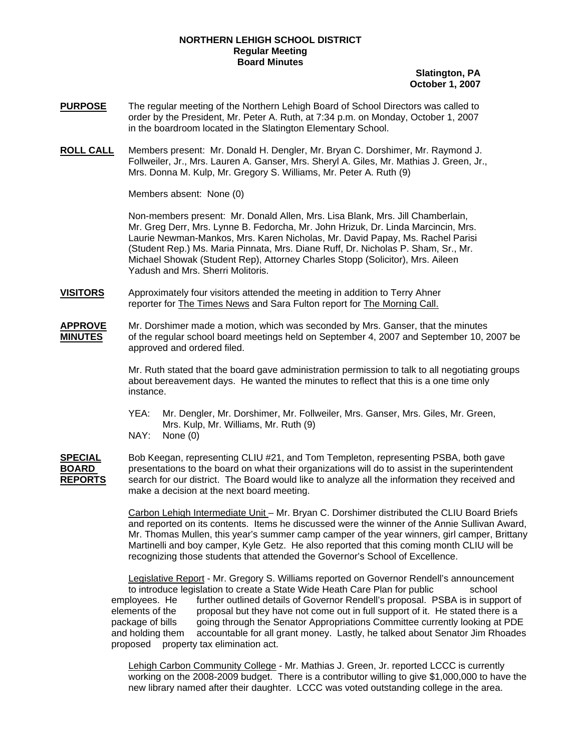## **NORTHERN LEHIGH SCHOOL DISTRICT Regular Meeting Board Minutes**

## **Slatington, PA October 1, 2007**

- **PURPOSE** The regular meeting of the Northern Lehigh Board of School Directors was called to order by the President, Mr. Peter A. Ruth, at 7:34 p.m. on Monday, October 1, 2007 in the boardroom located in the Slatington Elementary School.
- **ROLL CALL** Members present: Mr. Donald H. Dengler, Mr. Bryan C. Dorshimer, Mr. Raymond J. Follweiler, Jr., Mrs. Lauren A. Ganser, Mrs. Sheryl A. Giles, Mr. Mathias J. Green, Jr., Mrs. Donna M. Kulp, Mr. Gregory S. Williams, Mr. Peter A. Ruth (9)

Members absent: None (0)

Non-members present: Mr. Donald Allen, Mrs. Lisa Blank, Mrs. Jill Chamberlain, Mr. Greg Derr, Mrs. Lynne B. Fedorcha, Mr. John Hrizuk, Dr. Linda Marcincin, Mrs. Laurie Newman-Mankos, Mrs. Karen Nicholas, Mr. David Papay, Ms. Rachel Parisi (Student Rep.) Ms. Maria Pinnata, Mrs. Diane Ruff, Dr. Nicholas P. Sham, Sr., Mr. Michael Showak (Student Rep), Attorney Charles Stopp (Solicitor), Mrs. Aileen Yadush and Mrs. Sherri Molitoris.

**VISITORS** Approximately four visitors attended the meeting in addition to Terry Ahner reporter for The Times News and Sara Fulton report for The Morning Call.

**APPROVE** Mr. Dorshimer made a motion, which was seconded by Mrs. Ganser, that the minutes **MINUTES** of the regular school board meetings held on September 4, 2007 and September 10, 2007 be approved and ordered filed.

> Mr. Ruth stated that the board gave administration permission to talk to all negotiating groups about bereavement days. He wanted the minutes to reflect that this is a one time only instance.

 YEA: Mr. Dengler, Mr. Dorshimer, Mr. Follweiler, Mrs. Ganser, Mrs. Giles, Mr. Green, Mrs. Kulp, Mr. Williams, Mr. Ruth (9)

NAY: None (0)

**SPECIAL** Bob Keegan, representing CLIU #21, and Tom Templeton, representing PSBA, both gave **BOARD** presentations to the board on what their organizations will do to assist in the superintendent **REPORTS** search for our district. The Board would like to analyze all the information they received and make a decision at the next board meeting.

> Carbon Lehigh Intermediate Unit – Mr. Bryan C. Dorshimer distributed the CLIU Board Briefs and reported on its contents. Items he discussed were the winner of the Annie Sullivan Award, Mr. Thomas Mullen, this year's summer camp camper of the year winners, girl camper, Brittany Martinelli and boy camper, Kyle Getz. He also reported that this coming month CLIU will be recognizing those students that attended the Governor's School of Excellence.

Legislative Report - Mr. Gregory S. Williams reported on Governor Rendell's announcement to introduce legislation to create a State Wide Heath Care Plan for public school employees. He further outlined details of Governor Rendell's proposal. PSBA is in support of elements of the proposal but they have not come out in full support of it. He stated there is a package of bills going through the Senator Appropriations Committee currently looking at PDE and holding them accountable for all grant money. Lastly, he talked about Senator Jim Rhoades proposed property tax elimination act.

Lehigh Carbon Community College - Mr. Mathias J. Green, Jr. reported LCCC is currently working on the 2008-2009 budget. There is a contributor willing to give \$1,000,000 to have the new library named after their daughter. LCCC was voted outstanding college in the area.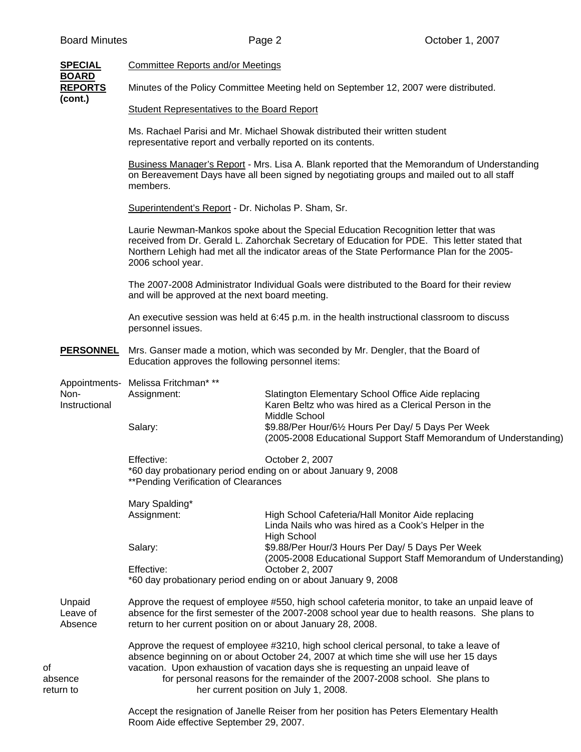|                                                                                                                                                                               | <b>SPECIAL</b>                            | Committee Reports and/or Meetings                                                                                                                                                                                                                                                                                                                                                             |                                                                                                                                           |  |
|-------------------------------------------------------------------------------------------------------------------------------------------------------------------------------|-------------------------------------------|-----------------------------------------------------------------------------------------------------------------------------------------------------------------------------------------------------------------------------------------------------------------------------------------------------------------------------------------------------------------------------------------------|-------------------------------------------------------------------------------------------------------------------------------------------|--|
|                                                                                                                                                                               | <b>BOARD</b><br><b>REPORTS</b><br>(cont.) |                                                                                                                                                                                                                                                                                                                                                                                               | Minutes of the Policy Committee Meeting held on September 12, 2007 were distributed.                                                      |  |
|                                                                                                                                                                               |                                           | <b>Student Representatives to the Board Report</b>                                                                                                                                                                                                                                                                                                                                            |                                                                                                                                           |  |
|                                                                                                                                                                               |                                           | Ms. Rachael Parisi and Mr. Michael Showak distributed their written student<br>representative report and verbally reported on its contents.                                                                                                                                                                                                                                                   |                                                                                                                                           |  |
|                                                                                                                                                                               |                                           | Business Manager's Report - Mrs. Lisa A. Blank reported that the Memorandum of Understanding<br>on Bereavement Days have all been signed by negotiating groups and mailed out to all staff<br>members.                                                                                                                                                                                        |                                                                                                                                           |  |
|                                                                                                                                                                               |                                           | Superintendent's Report - Dr. Nicholas P. Sham, Sr.                                                                                                                                                                                                                                                                                                                                           |                                                                                                                                           |  |
|                                                                                                                                                                               |                                           | Laurie Newman-Mankos spoke about the Special Education Recognition letter that was<br>received from Dr. Gerald L. Zahorchak Secretary of Education for PDE. This letter stated that<br>Northern Lehigh had met all the indicator areas of the State Performance Plan for the 2005-<br>2006 school year.                                                                                       |                                                                                                                                           |  |
|                                                                                                                                                                               |                                           | and will be approved at the next board meeting.                                                                                                                                                                                                                                                                                                                                               | The 2007-2008 Administrator Individual Goals were distributed to the Board for their review                                               |  |
| personnel issues.<br>Mrs. Ganser made a motion, which was seconded by Mr. Dengler, that the Board of<br><b>PERSONNEL</b><br>Education approves the following personnel items: |                                           | An executive session was held at 6:45 p.m. in the health instructional classroom to discuss                                                                                                                                                                                                                                                                                                   |                                                                                                                                           |  |
|                                                                                                                                                                               |                                           |                                                                                                                                                                                                                                                                                                                                                                                               |                                                                                                                                           |  |
|                                                                                                                                                                               | Non-<br>Instructional                     | Appointments- Melissa Fritchman* **<br>Assignment:                                                                                                                                                                                                                                                                                                                                            | Slatington Elementary School Office Aide replacing<br>Karen Beltz who was hired as a Clerical Person in the                               |  |
|                                                                                                                                                                               |                                           | Salary:                                                                                                                                                                                                                                                                                                                                                                                       | Middle School<br>\$9.88/Per Hour/61/2 Hours Per Day/ 5 Days Per Week<br>(2005-2008 Educational Support Staff Memorandum of Understanding) |  |
|                                                                                                                                                                               |                                           | Effective:<br>**Pending Verification of Clearances                                                                                                                                                                                                                                                                                                                                            | October 2, 2007<br>*60 day probationary period ending on or about January 9, 2008                                                         |  |
|                                                                                                                                                                               |                                           | Mary Spalding*                                                                                                                                                                                                                                                                                                                                                                                |                                                                                                                                           |  |
|                                                                                                                                                                               |                                           | Assignment:                                                                                                                                                                                                                                                                                                                                                                                   | High School Cafeteria/Hall Monitor Aide replacing<br>Linda Nails who was hired as a Cook's Helper in the<br><b>High School</b>            |  |
|                                                                                                                                                                               |                                           | Salary:                                                                                                                                                                                                                                                                                                                                                                                       | \$9.88/Per Hour/3 Hours Per Day/ 5 Days Per Week<br>(2005-2008 Educational Support Staff Memorandum of Understanding)                     |  |
|                                                                                                                                                                               |                                           | Effective:                                                                                                                                                                                                                                                                                                                                                                                    | October 2, 2007<br>*60 day probationary period ending on or about January 9, 2008                                                         |  |
|                                                                                                                                                                               | Unpaid<br>Leave of<br>Absence             | Approve the request of employee #550, high school cafeteria monitor, to take an unpaid leave of<br>absence for the first semester of the 2007-2008 school year due to health reasons. She plans to<br>return to her current position on or about January 28, 2008.                                                                                                                            |                                                                                                                                           |  |
| οf                                                                                                                                                                            | absence<br>return to                      | Approve the request of employee #3210, high school clerical personal, to take a leave of<br>absence beginning on or about October 24, 2007 at which time she will use her 15 days<br>vacation. Upon exhaustion of vacation days she is requesting an unpaid leave of<br>for personal reasons for the remainder of the 2007-2008 school. She plans to<br>her current position on July 1, 2008. |                                                                                                                                           |  |
|                                                                                                                                                                               |                                           | Room Aide effective September 29, 2007.                                                                                                                                                                                                                                                                                                                                                       | Accept the resignation of Janelle Reiser from her position has Peters Elementary Health                                                   |  |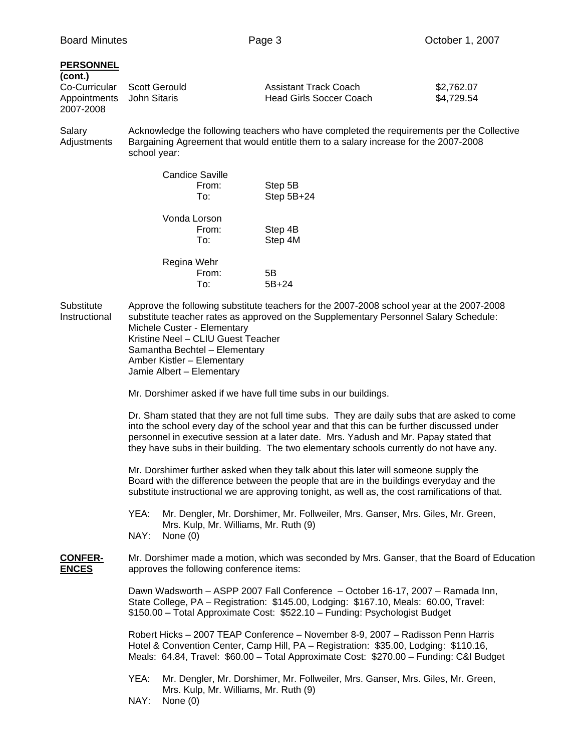## **PERSONNEL**

| (cont.)                   |                             |                         |            |
|---------------------------|-----------------------------|-------------------------|------------|
|                           | Co-Curricular Scott Gerould | Assistant Track Coach   | \$2,762.07 |
| Appointments John Sitaris |                             | Head Girls Soccer Coach | \$4.729.54 |
| 2007-2008                 |                             |                         |            |

Salary **Acknowledge the following teachers who have completed the requirements per the Collective** Adjustments Bargaining Agreement that would entitle them to a salary increase for the 2007-2008 school year:

| <b>Candice Saville</b><br>From:<br>To: | Step 5B<br>Step 5B+24 |
|----------------------------------------|-----------------------|
| Vonda Lorson<br>From:<br>To:           | Step 4B<br>Step 4M    |
| Regina Wehr<br>From:<br>To:            | 5Β<br>$5B + 24$       |

Substitute Approve the following substitute teachers for the 2007-2008 school year at the 2007-2008 Instructional substitute teacher rates as approved on the Supplementary Personnel Salary Schedule: Michele Custer - Elementary Kristine Neel – CLIU Guest Teacher Samantha Bechtel – Elementary Amber Kistler – Elementary Jamie Albert – Elementary

Mr. Dorshimer asked if we have full time subs in our buildings.

 Dr. Sham stated that they are not full time subs. They are daily subs that are asked to come into the school every day of the school year and that this can be further discussed under personnel in executive session at a later date. Mrs. Yadush and Mr. Papay stated that they have subs in their building. The two elementary schools currently do not have any.

 Mr. Dorshimer further asked when they talk about this later will someone supply the Board with the difference between the people that are in the buildings everyday and the substitute instructional we are approving tonight, as well as, the cost ramifications of that.

 YEA: Mr. Dengler, Mr. Dorshimer, Mr. Follweiler, Mrs. Ganser, Mrs. Giles, Mr. Green, Mrs. Kulp, Mr. Williams, Mr. Ruth (9) NAY: None (0)

## **CONFER-** Mr. Dorshimer made a motion, which was seconded by Mrs. Ganser, that the Board of Education **ENCES** approves the following conference items:

 Dawn Wadsworth – ASPP 2007 Fall Conference – October 16-17, 2007 – Ramada Inn, State College, PA – Registration: \$145.00, Lodging: \$167.10, Meals: 60.00, Travel: \$150.00 – Total Approximate Cost: \$522.10 – Funding: Psychologist Budget

 Robert Hicks – 2007 TEAP Conference – November 8-9, 2007 – Radisson Penn Harris Hotel & Convention Center, Camp Hill, PA – Registration: \$35.00, Lodging: \$110.16, Meals: 64.84, Travel: \$60.00 – Total Approximate Cost: \$270.00 – Funding: C&I Budget

- YEA: Mr. Dengler, Mr. Dorshimer, Mr. Follweiler, Mrs. Ganser, Mrs. Giles, Mr. Green, Mrs. Kulp, Mr. Williams, Mr. Ruth (9)
- NAY: None (0)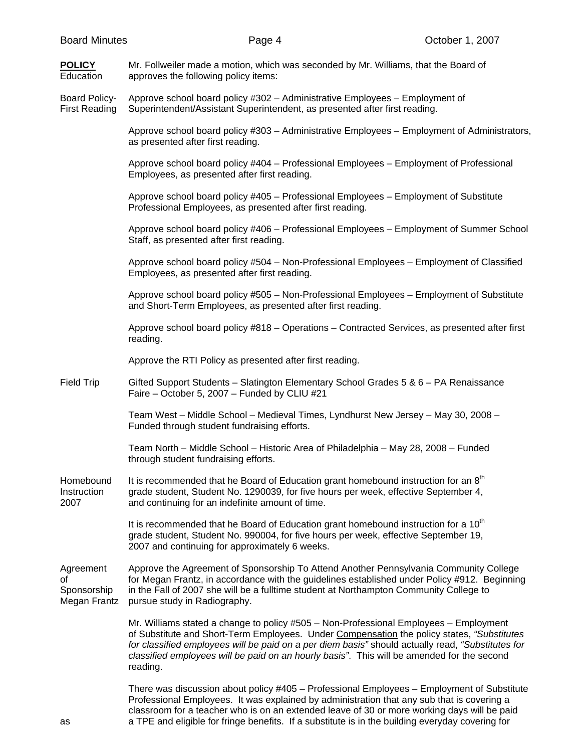| <b>Board Minutes</b>                         | Page 4                                                                                                                                                    | October 1, 2007 |
|----------------------------------------------|-----------------------------------------------------------------------------------------------------------------------------------------------------------|-----------------|
| <b>POLICY</b><br>Education                   | Mr. Follweiler made a motion, which was seconded by Mr. Williams, that the Board of<br>approves the following policy items:                               |                 |
| <b>Board Policy-</b><br><b>First Reading</b> | Approve school board policy #302 - Administrative Employees - Employment of<br>Superintendent/Assistant Superintendent, as presented after first reading. |                 |
|                                              | Approve school board policy #303 - Administrative Employees - Employment of Administrators,<br>as presented after first reading.                          |                 |
|                                              | Approve school board policy #404 - Professional Employees - Employment of Professional<br>Employees, as presented after first reading.                    |                 |
|                                              | Approve school board policy #405 - Professional Employees - Employment of Substitute<br>Professional Employees, as presented after first reading.         |                 |
|                                              | Approve school board policy #406 - Professional Employees - Employment of Summer School<br>Staff, as presented after first reading.                       |                 |
|                                              | Approve school board policy #504 - Non-Professional Employees - Employment of Classified<br>Employees, as presented after first reading.                  |                 |
|                                              | Approve school board policy #505 - Non-Professional Employees - Employment of Substitute<br>and Short-Term Employees, as presented after first reading.   |                 |
|                                              | Approve school board policy #818 - Operations - Contracted Services, as presented after first<br>reading.                                                 |                 |
|                                              | Approve the RTI Policy as presented after first reading.                                                                                                  |                 |
| <b>Field Trip</b>                            | Gifted Support Students - Slatington Elementary School Grades 5 & 6 - PA Renaissance<br>Faire - October 5, 2007 - Funded by CLIU #21                      |                 |
|                                              | Team West - Middle School - Medieval Times, Lyndhurst New Jersey - May 30, 2008 -<br>Funded through student fundraising efforts.                          |                 |

Team North – Middle School – Historic Area of Philadelphia – May 28, 2008 – Funded through student fundraising efforts.

Homebound It is recommended that he Board of Education grant homebound instruction for an  $8<sup>th</sup>$ Instruction grade student, Student No. 1290039, for five hours per week, effective September 4, 2007 and continuing for an indefinite amount of time.

> It is recommended that he Board of Education grant homebound instruction for a  $10<sup>th</sup>$ grade student, Student No. 990004, for five hours per week, effective September 19, 2007 and continuing for approximately 6 weeks.

Agreement Approve the Agreement of Sponsorship To Attend Another Pennsylvania Community College of for Megan Frantz, in accordance with the guidelines established under Policy #912. Beginning Sponsorship in the Fall of 2007 she will be a fulltime student at Northampton Community College to Megan Frantz pursue study in Radiography.

> Mr. Williams stated a change to policy #505 – Non-Professional Employees – Employment of Substitute and Short-Term Employees. Under Compensation the policy states, *"Substitutes for classified employees will be paid on a per diem basis"* should actually read, *"Substitutes for classified employees will be paid on an hourly basis"*. This will be amended for the second reading.

 There was discussion about policy #405 – Professional Employees – Employment of Substitute Professional Employees. It was explained by administration that any sub that is covering a classroom for a teacher who is on an extended leave of 30 or more working days will be paid as a TPE and eligible for fringe benefits. If a substitute is in the building everyday covering for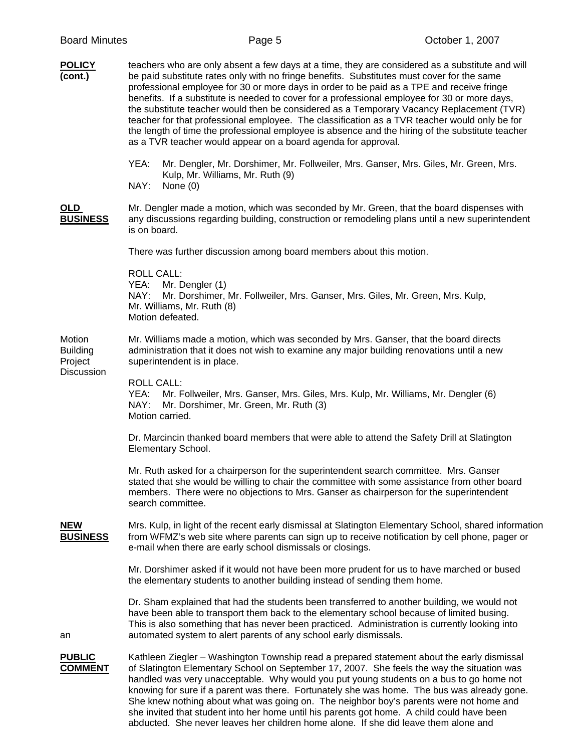| <b>POLICY</b><br>(cont.)                           | teachers who are only absent a few days at a time, they are considered as a substitute and will<br>be paid substitute rates only with no fringe benefits. Substitutes must cover for the same<br>professional employee for 30 or more days in order to be paid as a TPE and receive fringe<br>benefits. If a substitute is needed to cover for a professional employee for 30 or more days,<br>the substitute teacher would then be considered as a Temporary Vacancy Replacement (TVR)<br>teacher for that professional employee. The classification as a TVR teacher would only be for<br>the length of time the professional employee is absence and the hiring of the substitute teacher<br>as a TVR teacher would appear on a board agenda for approval. |
|----------------------------------------------------|---------------------------------------------------------------------------------------------------------------------------------------------------------------------------------------------------------------------------------------------------------------------------------------------------------------------------------------------------------------------------------------------------------------------------------------------------------------------------------------------------------------------------------------------------------------------------------------------------------------------------------------------------------------------------------------------------------------------------------------------------------------|
|                                                    | YEA:<br>Mr. Dengler, Mr. Dorshimer, Mr. Follweiler, Mrs. Ganser, Mrs. Giles, Mr. Green, Mrs.<br>Kulp, Mr. Williams, Mr. Ruth (9)<br>NAY:<br>None $(0)$                                                                                                                                                                                                                                                                                                                                                                                                                                                                                                                                                                                                        |
| <b>OLD</b><br><b>BUSINESS</b>                      | Mr. Dengler made a motion, which was seconded by Mr. Green, that the board dispenses with<br>any discussions regarding building, construction or remodeling plans until a new superintendent<br>is on board.                                                                                                                                                                                                                                                                                                                                                                                                                                                                                                                                                  |
|                                                    | There was further discussion among board members about this motion.                                                                                                                                                                                                                                                                                                                                                                                                                                                                                                                                                                                                                                                                                           |
|                                                    | <b>ROLL CALL:</b><br>YEA: Mr. Dengler (1)<br>NAY:<br>Mr. Dorshimer, Mr. Follweiler, Mrs. Ganser, Mrs. Giles, Mr. Green, Mrs. Kulp,<br>Mr. Williams, Mr. Ruth (8)<br>Motion defeated.                                                                                                                                                                                                                                                                                                                                                                                                                                                                                                                                                                          |
| Motion<br><b>Building</b><br>Project<br>Discussion | Mr. Williams made a motion, which was seconded by Mrs. Ganser, that the board directs<br>administration that it does not wish to examine any major building renovations until a new<br>superintendent is in place.                                                                                                                                                                                                                                                                                                                                                                                                                                                                                                                                            |
|                                                    | <b>ROLL CALL:</b><br>YEA:<br>Mr. Follweiler, Mrs. Ganser, Mrs. Giles, Mrs. Kulp, Mr. Williams, Mr. Dengler (6)<br>NAY:<br>Mr. Dorshimer, Mr. Green, Mr. Ruth (3)<br>Motion carried.                                                                                                                                                                                                                                                                                                                                                                                                                                                                                                                                                                           |
|                                                    | Dr. Marcincin thanked board members that were able to attend the Safety Drill at Slatington<br>Elementary School.                                                                                                                                                                                                                                                                                                                                                                                                                                                                                                                                                                                                                                             |
|                                                    | Mr. Ruth asked for a chairperson for the superintendent search committee. Mrs. Ganser<br>stated that she would be willing to chair the committee with some assistance from other board<br>members. There were no objections to Mrs. Ganser as chairperson for the superintendent<br>search committee.                                                                                                                                                                                                                                                                                                                                                                                                                                                         |
| <b>NEW</b><br><b>BUSINESS</b>                      | Mrs. Kulp, in light of the recent early dismissal at Slatington Elementary School, shared information<br>from WFMZ's web site where parents can sign up to receive notification by cell phone, pager or<br>e-mail when there are early school dismissals or closings.                                                                                                                                                                                                                                                                                                                                                                                                                                                                                         |
|                                                    | Mr. Dorshimer asked if it would not have been more prudent for us to have marched or bused<br>the elementary students to another building instead of sending them home.                                                                                                                                                                                                                                                                                                                                                                                                                                                                                                                                                                                       |
| an                                                 | Dr. Sham explained that had the students been transferred to another building, we would not<br>have been able to transport them back to the elementary school because of limited busing.<br>This is also something that has never been practiced. Administration is currently looking into<br>automated system to alert parents of any school early dismissals.                                                                                                                                                                                                                                                                                                                                                                                               |
| <b>PUBLIC</b><br><b>COMMENT</b>                    | Kathleen Ziegler - Washington Township read a prepared statement about the early dismissal<br>of Slatington Elementary School on September 17, 2007. She feels the way the situation was<br>handled was very unacceptable. Why would you put young students on a bus to go home not<br>knowing for sure if a parent was there. Fortunately she was home. The bus was already gone.<br>She knew nothing about what was going on. The neighbor boy's parents were not home and<br>she invited that student into her home until his parents got home. A child could have been<br>abducted. She never leaves her children home alone. If she did leave them alone and                                                                                             |